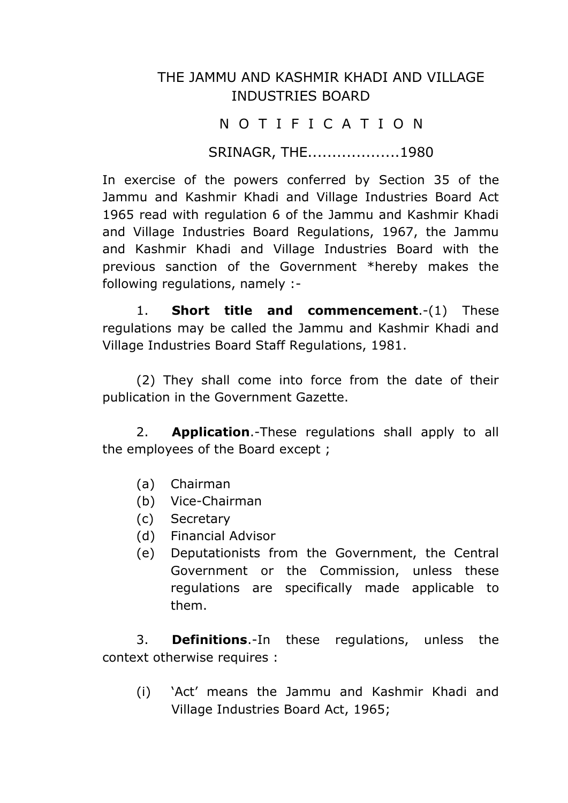## THE JAMMU AND KASHMIR KHADI AND VILLAGE INDUSTRIES BOARD

## N O T I F I C A T I O N

SRINAGR, THE...................1980

In exercise of the powers conferred by Section 35 of the Jammu and Kashmir Khadi and Village Industries Board Act 1965 read with regulation 6 of the Jammu and Kashmir Khadi and Village Industries Board Regulations, 1967, the Jammu and Kashmir Khadi and Village Industries Board with the previous sanction of the Government \*hereby makes the following regulations, namely :-

1. **Short title and commencement**.-(1) These regulations may be called the Jammu and Kashmir Khadi and Village Industries Board Staff Regulations, 1981.

(2) They shall come into force from the date of their publication in the Government Gazette.

2. **Application**.-These regulations shall apply to all the employees of the Board except ;

- (a) Chairman
- (b) Vice-Chairman
- (c) Secretary
- (d) Financial Advisor
- (e) Deputationists from the Government, the Central Government or the Commission, unless these regulations are specifically made applicable to them.

3. **Definitions**.-In these regulations, unless the context otherwise requires :

(i) 'Act' means the Jammu and Kashmir Khadi and Village Industries Board Act, 1965;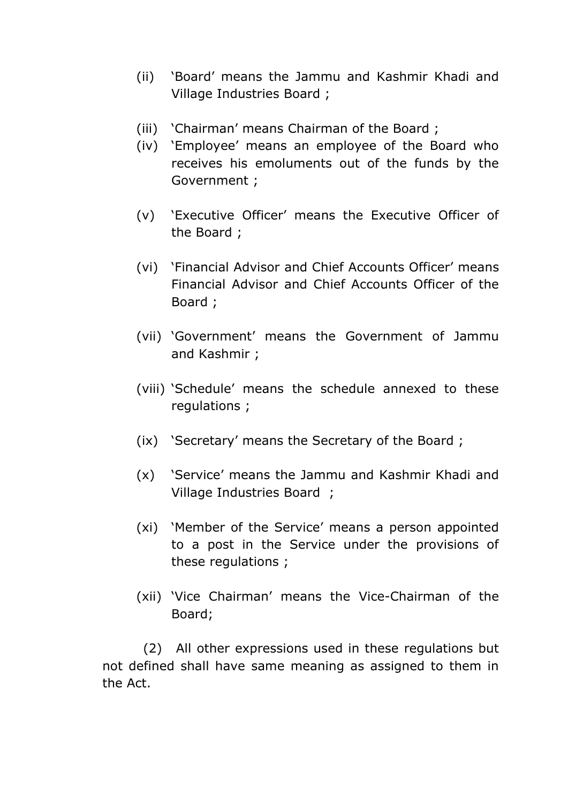- (ii) 'Board' means the Jammu and Kashmir Khadi and Village Industries Board ;
- (iii) 'Chairman' means Chairman of the Board ;
- (iv) 'Employee' means an employee of the Board who receives his emoluments out of the funds by the Government ;
- (v) 'Executive Officer' means the Executive Officer of the Board ;
- (vi) 'Financial Advisor and Chief Accounts Officer' means Financial Advisor and Chief Accounts Officer of the Board ;
- (vii) 'Government' means the Government of Jammu and Kashmir ;
- (viii) 'Schedule' means the schedule annexed to these regulations ;
- (ix) 'Secretary' means the Secretary of the Board ;
- (x) 'Service' means the Jammu and Kashmir Khadi and Village Industries Board ;
- (xi) 'Member of the Service' means a person appointed to a post in the Service under the provisions of these regulations ;
- (xii) 'Vice Chairman' means the Vice-Chairman of the Board;

(2) All other expressions used in these regulations but not defined shall have same meaning as assigned to them in the Act.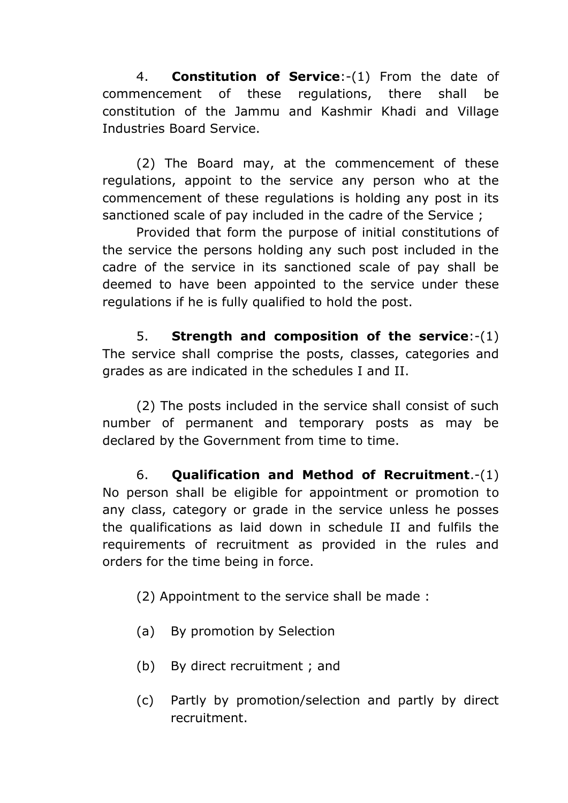4. **Constitution of Service**:-(1) From the date of commencement of these regulations, there shall be constitution of the Jammu and Kashmir Khadi and Village Industries Board Service.

(2) The Board may, at the commencement of these regulations, appoint to the service any person who at the commencement of these regulations is holding any post in its sanctioned scale of pay included in the cadre of the Service ;

Provided that form the purpose of initial constitutions of the service the persons holding any such post included in the cadre of the service in its sanctioned scale of pay shall be deemed to have been appointed to the service under these regulations if he is fully qualified to hold the post.

5. **Strength and composition of the service**:-(1) The service shall comprise the posts, classes, categories and grades as are indicated in the schedules I and II.

(2) The posts included in the service shall consist of such number of permanent and temporary posts as may be declared by the Government from time to time.

6. **Qualification and Method of Recruitment**.-(1) No person shall be eligible for appointment or promotion to any class, category or grade in the service unless he posses the qualifications as laid down in schedule II and fulfils the requirements of recruitment as provided in the rules and orders for the time being in force.

(2) Appointment to the service shall be made :

- (a) By promotion by Selection
- (b) By direct recruitment ; and
- (c) Partly by promotion/selection and partly by direct recruitment.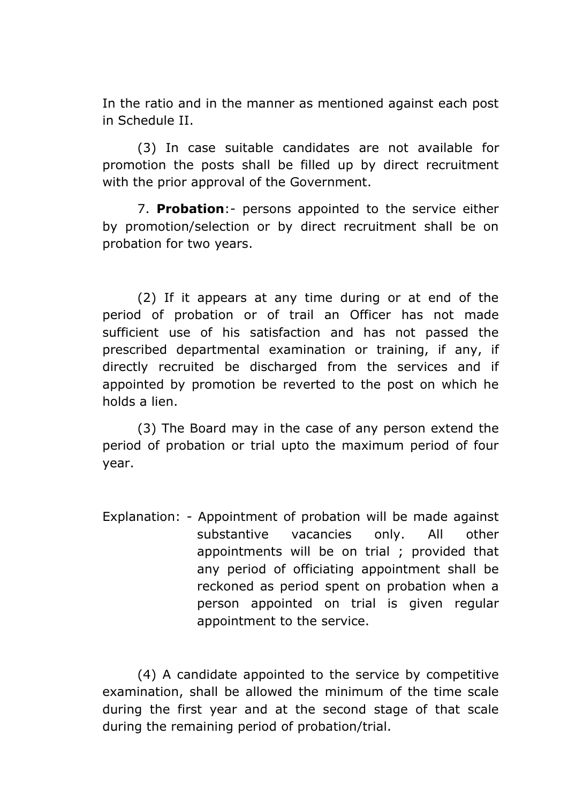In the ratio and in the manner as mentioned against each post in Schedule II.

(3) In case suitable candidates are not available for promotion the posts shall be filled up by direct recruitment with the prior approval of the Government.

7. **Probation**:- persons appointed to the service either by promotion/selection or by direct recruitment shall be on probation for two years.

(2) If it appears at any time during or at end of the period of probation or of trail an Officer has not made sufficient use of his satisfaction and has not passed the prescribed departmental examination or training, if any, if directly recruited be discharged from the services and if appointed by promotion be reverted to the post on which he holds a lien.

(3) The Board may in the case of any person extend the period of probation or trial upto the maximum period of four year.

Explanation: - Appointment of probation will be made against substantive vacancies only. All other appointments will be on trial ; provided that any period of officiating appointment shall be reckoned as period spent on probation when a person appointed on trial is given regular appointment to the service.

(4) A candidate appointed to the service by competitive examination, shall be allowed the minimum of the time scale during the first year and at the second stage of that scale during the remaining period of probation/trial.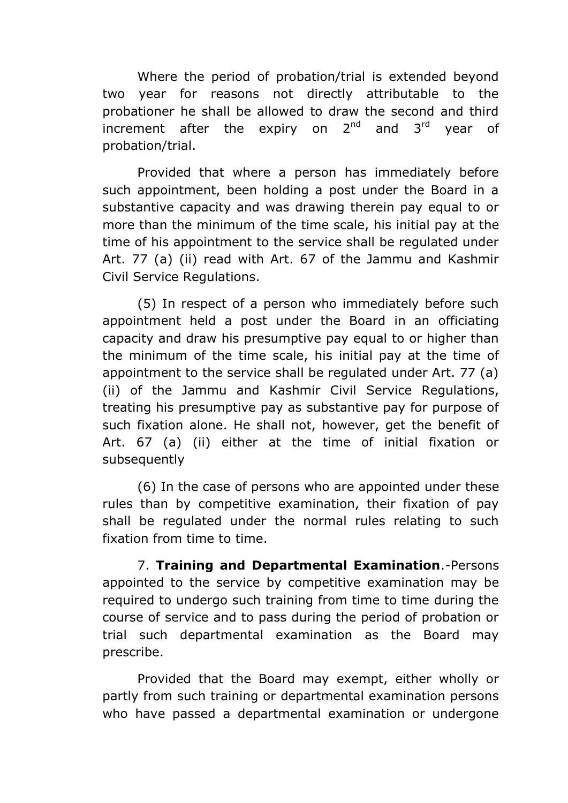Where the period of probation/trial is extended beyond two year for reasons not directly attributable to the probationer he shall be allowed to draw the second and third increment after the expiry on  $2^{nd}$  and  $3^{rd}$  year of probation/trial.

Provided that where a person has immediately before such appointment, been holding a post under the Board in a substantive capacity and was drawing therein pay equal to or more than the minimum of the time scale, his initial pay at the time of his appointment to the service shall be regulated under Art. 77 (a) (ii) read with Art. 67 of the Jammu and Kashmir Civil Service Regulations.

(5) In respect of a person who immediately before such appointment held a post under the Board in an officiating capacity and draw his presumptive pay equal to or higher than the minimum of the time scale, his initial pay at the time of appointment to the service shall be regulated under Art. 77 (a) (ii) of the Jammu and Kashmir Civil Service Regulations, treating his presumptive pay as substantive pay for purpose of such fixation alone. He shall not, however, get the benefit of Art. 67 (a) (ii) either at the time of initial fixation or subsequently

(6) In the case of persons who are appointed under these rules than by competitive examination, their fixation of pay shall be regulated under the normal rules relating to such fixation from time to time.

7. **Training and Departmental Examination**.-Persons appointed to the service by competitive examination may be required to undergo such training from time to time during the course of service and to pass during the period of probation or trial such departmental examination as the Board may prescribe.

Provided that the Board may exempt, either wholly or partly from such training or departmental examination persons who have passed a departmental examination or undergone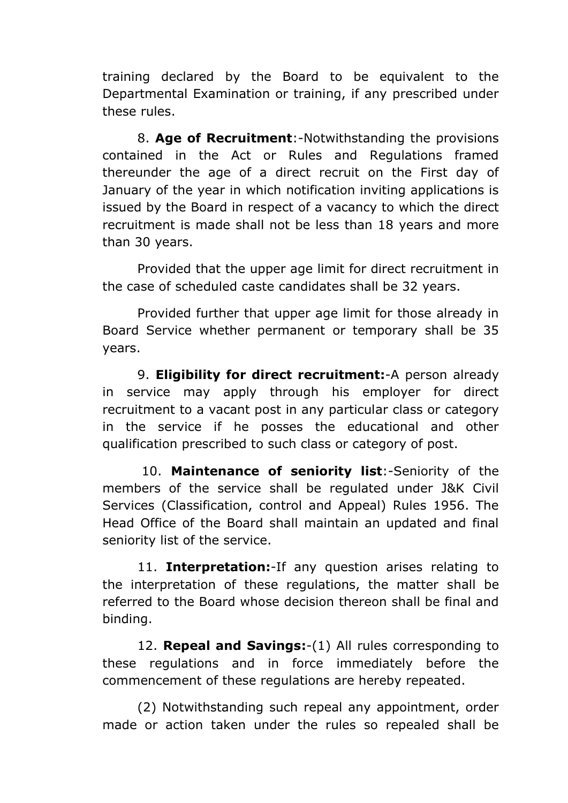training declared by the Board to be equivalent to the Departmental Examination or training, if any prescribed under these rules.

8. **Age of Recruitment**:-Notwithstanding the provisions contained in the Act or Rules and Regulations framed thereunder the age of a direct recruit on the First day of January of the year in which notification inviting applications is issued by the Board in respect of a vacancy to which the direct recruitment is made shall not be less than 18 years and more than 30 years.

Provided that the upper age limit for direct recruitment in the case of scheduled caste candidates shall be 32 years.

Provided further that upper age limit for those already in Board Service whether permanent or temporary shall be 35 years.

9. **Eligibility for direct recruitment:**-A person already in service may apply through his employer for direct recruitment to a vacant post in any particular class or category in the service if he posses the educational and other qualification prescribed to such class or category of post.

10. **Maintenance of seniority list**:-Seniority of the members of the service shall be regulated under J&K Civil Services (Classification, control and Appeal) Rules 1956. The Head Office of the Board shall maintain an updated and final seniority list of the service.

11. **Interpretation:**-If any question arises relating to the interpretation of these regulations, the matter shall be referred to the Board whose decision thereon shall be final and binding.

12. **Repeal and Savings:**-(1) All rules corresponding to these regulations and in force immediately before the commencement of these regulations are hereby repeated.

(2) Notwithstanding such repeal any appointment, order made or action taken under the rules so repealed shall be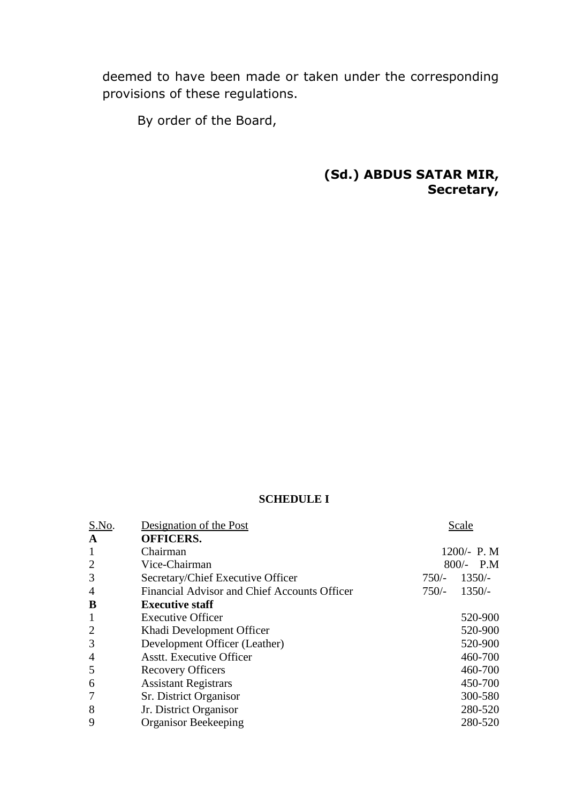deemed to have been made or taken under the corresponding provisions of these regulations.

By order of the Board,

**(Sd.) ABDUS SATAR MIR, Secretary,**

## **SCHEDULE I**

| S.No.          | Designation of the Post                      |         | Scale       |
|----------------|----------------------------------------------|---------|-------------|
| A              | <b>OFFICERS.</b>                             |         |             |
| $\mathbf{1}$   | Chairman                                     |         | 1200/- P. M |
| $\overline{2}$ | Vice-Chairman                                |         | $800/-$ P.M |
| 3              | Secretary/Chief Executive Officer            | $750/-$ | $1350/-$    |
| $\overline{4}$ | Financial Advisor and Chief Accounts Officer | $750/-$ | $1350/-$    |
| B              | <b>Executive staff</b>                       |         |             |
| $\mathbf{1}$   | <b>Executive Officer</b>                     |         | 520-900     |
| 2              | Khadi Development Officer                    |         | 520-900     |
| 3              | Development Officer (Leather)                |         | 520-900     |
| 4              | <b>Asstt.</b> Executive Officer              |         | 460-700     |
| 5              | <b>Recovery Officers</b>                     |         | 460-700     |
| 6              | <b>Assistant Registrars</b>                  |         | 450-700     |
|                | Sr. District Organisor                       |         | 300-580     |
| 8              | Jr. District Organisor                       |         | 280-520     |
| 9              | <b>Organisor Beekeeping</b>                  |         | 280-520     |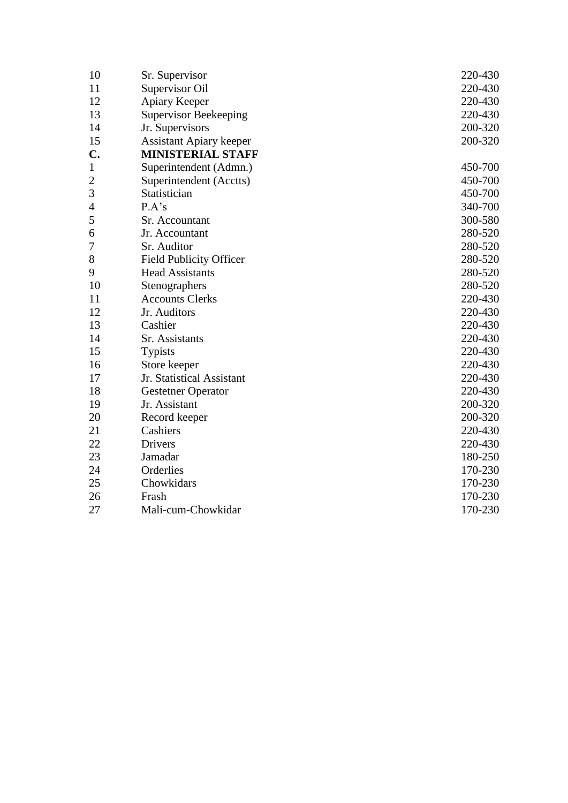| 10             | Sr. Supervisor                 | 220-430 |
|----------------|--------------------------------|---------|
| 11             | Supervisor Oil                 | 220-430 |
| 12             | Apiary Keeper                  | 220-430 |
| 13             | <b>Supervisor Beekeeping</b>   | 220-430 |
| 14             | Jr. Supervisors                | 200-320 |
| 15             | <b>Assistant Apiary keeper</b> | 200-320 |
| $\mathbf{C}$ . | <b>MINISTERIAL STAFF</b>       |         |
| $\mathbf{1}$   | Superintendent (Admn.)         | 450-700 |
| $\overline{c}$ | Superintendent (Acctts)        | 450-700 |
| 3              | Statistician                   | 450-700 |
| $\overline{4}$ | P.A's                          | 340-700 |
| 5              | Sr. Accountant                 | 300-580 |
| 6              | Jr. Accountant                 | 280-520 |
| 7              | Sr. Auditor                    | 280-520 |
| 8              | <b>Field Publicity Officer</b> | 280-520 |
| 9              | <b>Head Assistants</b>         | 280-520 |
| 10             | Stenographers                  | 280-520 |
| 11             | <b>Accounts Clerks</b>         | 220-430 |
| 12             | Jr. Auditors                   | 220-430 |
| 13             | Cashier                        | 220-430 |
| 14             | Sr. Assistants                 | 220-430 |
| 15             | <b>Typists</b>                 | 220-430 |
| 16             | Store keeper                   | 220-430 |
| 17             | Jr. Statistical Assistant      | 220-430 |
| 18             | <b>Gestetner Operator</b>      | 220-430 |
| 19             | Jr. Assistant                  | 200-320 |
| 20             | Record keeper                  | 200-320 |
| 21             | Cashiers                       | 220-430 |
| 22             | <b>Drivers</b>                 | 220-430 |
| 23             | Jamadar                        | 180-250 |
| 24             | Orderlies                      | 170-230 |
| 25             | Chowkidars                     | 170-230 |
| 26             | Frash                          | 170-230 |
| 27             | Mali-cum-Chowkidar             | 170-230 |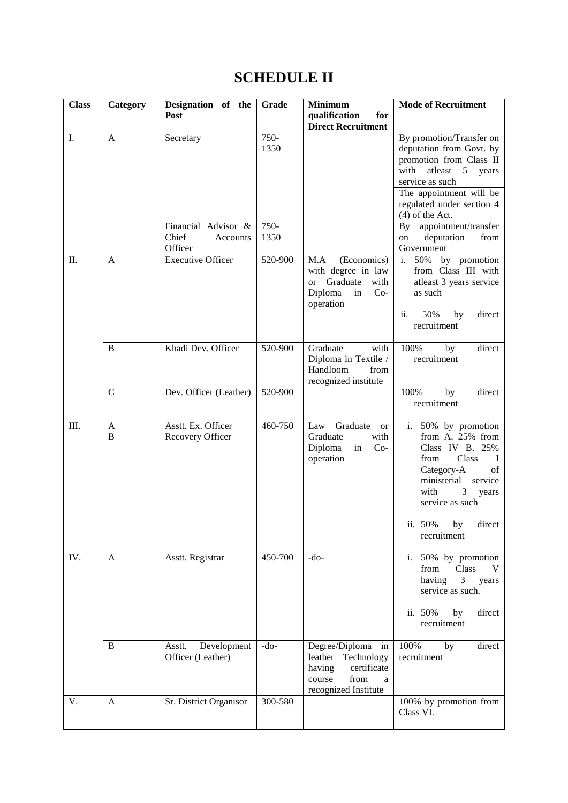## **SCHEDULE II**

| <b>Class</b> | Category     | Designation of the<br>Post                          | Grade        | <b>Minimum</b><br>qualification<br>for                                                                                        | <b>Mode of Recruitment</b>                                                                                                                                                                                                     |
|--------------|--------------|-----------------------------------------------------|--------------|-------------------------------------------------------------------------------------------------------------------------------|--------------------------------------------------------------------------------------------------------------------------------------------------------------------------------------------------------------------------------|
| I.           | A            | Secretary                                           | 750-<br>1350 | <b>Direct Recruitment</b>                                                                                                     | By promotion/Transfer on<br>deputation from Govt. by<br>promotion from Class II<br>with<br>atleast<br>$5\overline{)}$<br>years<br>service as such<br>The appointment will be<br>regulated under section 4<br>$(4)$ of the Act. |
|              |              | Financial Advisor &<br>Chief<br>Accounts<br>Officer | 750-<br>1350 |                                                                                                                               | appointment/transfer<br>$\mathbf{By}$<br>deputation<br>from<br>on<br>Government                                                                                                                                                |
| Π.           | $\mathbf{A}$ | <b>Executive Officer</b>                            | 520-900      | M.A<br>(Economics)<br>with degree in law<br>Graduate<br>with<br><sub>or</sub><br>Diploma<br>$Co-$<br>in<br>operation          | 50%<br>i.<br>by promotion<br>from Class III with<br>atleast 3 years service<br>as such<br>ii.<br>50%<br>by<br>direct<br>recruitment                                                                                            |
|              | B            | Khadi Dev. Officer                                  | 520-900      | Graduate<br>with<br>Diploma in Textile /<br>Handloom<br>from<br>recognized institute                                          | 100%<br>by<br>direct<br>recruitment                                                                                                                                                                                            |
|              | $\mathsf{C}$ | Dev. Officer (Leather)                              | 520-900      |                                                                                                                               | 100%<br>direct<br>by<br>recruitment                                                                                                                                                                                            |
| III.         | A<br>B       | Asstt. Ex. Officer<br>Recovery Officer              | 460-750      | Graduate<br>Law<br><b>or</b><br>Graduate<br>with<br>Diploma<br>$Co-$<br>in<br>operation                                       | $50\%$ by promotion<br>$i$ .<br>from A. 25% from<br>Class IV B. 25%<br>from<br>Class<br>$\mathbf{I}$<br>Category-A<br>of<br>ministerial<br>service<br>with<br>3<br>years<br>service as such<br>ii. 50% by direct               |
| IV.          | A            | Asstt. Registrar                                    | 450-700      | $-do-$                                                                                                                        | recruitment<br>i. 50% by promotion                                                                                                                                                                                             |
|              |              |                                                     |              |                                                                                                                               | from<br>Class<br>V<br>3 <sup>7</sup><br>having<br>years<br>service as such.                                                                                                                                                    |
|              |              |                                                     |              |                                                                                                                               | ii. 50%<br>direct<br>by<br>recruitment                                                                                                                                                                                         |
|              | B            | Development<br>Asstt.<br>Officer (Leather)          | $-do-$       | Degree/Diploma<br>in<br>leather Technology<br>having<br>certificate<br>course<br>from<br>$\mathbf{a}$<br>recognized Institute | 100%<br>direct<br>by<br>recruitment                                                                                                                                                                                            |
| V.           | $\mathbf{A}$ | Sr. District Organisor                              | 300-580      |                                                                                                                               | 100% by promotion from<br>Class VI.                                                                                                                                                                                            |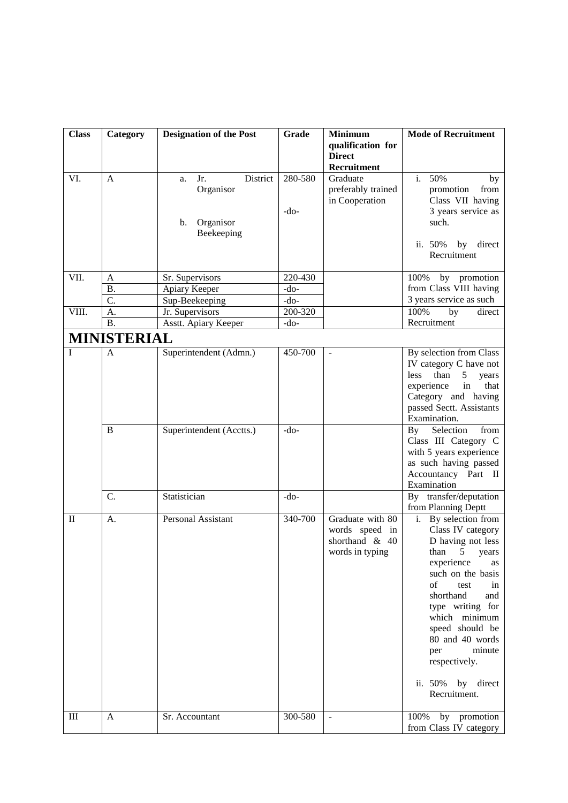| <b>Class</b>   | Category           | <b>Designation of the Post</b> | Grade   | <b>Minimum</b>                       | <b>Mode of Recruitment</b>                            |
|----------------|--------------------|--------------------------------|---------|--------------------------------------|-------------------------------------------------------|
|                |                    |                                |         | qualification for                    |                                                       |
|                |                    |                                |         | <b>Direct</b>                        |                                                       |
|                |                    |                                |         | Recruitment                          |                                                       |
| VI.            | A                  | District<br>Jr.<br>a.          | 280-580 | Graduate                             | 50%<br>$\mathbf{i}$ .<br>by                           |
|                |                    | Organisor                      |         | preferably trained<br>in Cooperation | promotion<br>from<br>Class VII having                 |
|                |                    |                                | $-do-$  |                                      | 3 years service as                                    |
|                |                    | Organisor<br>b.                |         |                                      | such.                                                 |
|                |                    | Beekeeping                     |         |                                      |                                                       |
|                |                    |                                |         |                                      | ii. 50%<br>by direct                                  |
|                |                    |                                |         |                                      | Recruitment                                           |
|                |                    |                                |         |                                      |                                                       |
| VII.           | A                  | Sr. Supervisors                | 220-430 |                                      | by promotion<br>100%                                  |
|                | <b>B.</b>          | Apiary Keeper                  | -do-    |                                      | from Class VIII having                                |
|                | C.                 | Sup-Beekeeping                 | $-do-$  |                                      | 3 years service as such                               |
| VIII.          | A.                 | Jr. Supervisors                | 200-320 |                                      | 100%<br>by<br>direct                                  |
|                | <b>B.</b>          | Asstt. Apiary Keeper           | $-do-$  |                                      | Recruitment                                           |
|                | <b>MINISTERIAL</b> |                                |         |                                      |                                                       |
| $\mathbf I$    | A                  | Superintendent (Admn.)         | 450-700 | $\overline{\phantom{a}}$             | By selection from Class                               |
|                |                    |                                |         |                                      | IV category C have not                                |
|                |                    |                                |         |                                      | than<br>less<br>years<br>5                            |
|                |                    |                                |         |                                      | experience<br>that<br>in                              |
|                |                    |                                |         |                                      | Category and having                                   |
|                |                    |                                |         |                                      | passed Sectt. Assistants                              |
|                | B                  |                                |         |                                      | Examination.                                          |
|                |                    | Superintendent (Acctts.)       | $-do-$  |                                      | Selection<br>from<br>By<br>Class III Category C       |
|                |                    |                                |         |                                      | with 5 years experience                               |
|                |                    |                                |         |                                      | as such having passed                                 |
|                |                    |                                |         |                                      | Accountancy Part II                                   |
|                |                    |                                |         |                                      | Examination                                           |
|                | C.                 | Statistician                   | $-do-$  |                                      | By transfer/deputation                                |
|                |                    |                                |         |                                      | from Planning Deptt                                   |
| $\mathbf{I}$   | А.                 | <b>Personal Assistant</b>      | 340-700 | Graduate with 80                     | i. By selection from                                  |
|                |                    |                                |         | words speed in<br>shorthand & 40     | Class IV category                                     |
|                |                    |                                |         | words in typing                      | D having not less<br>than<br>$5\overline{)}$<br>years |
|                |                    |                                |         |                                      | experience<br>as                                      |
|                |                    |                                |         |                                      | such on the basis                                     |
|                |                    |                                |         |                                      | of<br>test<br>in                                      |
|                |                    |                                |         |                                      | shorthand<br>and                                      |
|                |                    |                                |         |                                      | type writing for                                      |
|                |                    |                                |         |                                      | which minimum                                         |
|                |                    |                                |         |                                      | speed should be                                       |
|                |                    |                                |         |                                      | 80 and 40 words                                       |
|                |                    |                                |         |                                      | minute<br>per                                         |
|                |                    |                                |         |                                      | respectively.                                         |
|                |                    |                                |         |                                      | ii. 50%<br>by direct                                  |
|                |                    |                                |         |                                      | Recruitment.                                          |
|                |                    |                                |         |                                      |                                                       |
| $\mathbf{III}$ | A                  | Sr. Accountant                 | 300-580 |                                      | $\overline{100\%}$ by promotion                       |
|                |                    |                                |         |                                      | from Class IV category                                |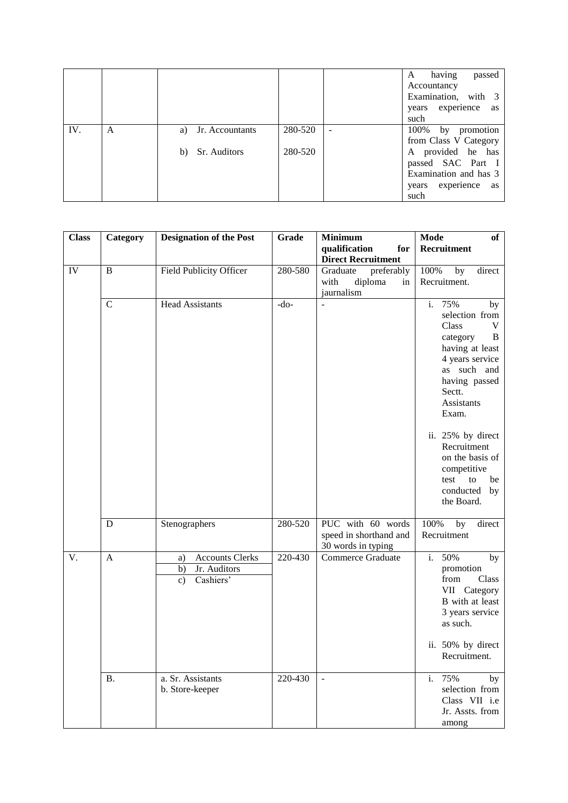|     |   |                    |         |                          | having<br>A<br>passed<br>Accountancy                                                     |
|-----|---|--------------------|---------|--------------------------|------------------------------------------------------------------------------------------|
|     |   |                    |         |                          | Examination, with 3<br>experience as<br>years<br>such                                    |
| IV. | A | a) Jr. Accountants | 280-520 | $\overline{\phantom{0}}$ | 100% by promotion                                                                        |
|     |   | Sr. Auditors<br>b) | 280-520 |                          | from Class V Category<br>A provided he has<br>passed SAC Part I<br>Examination and has 3 |
|     |   |                    |         |                          | experience as<br>years<br>such                                                           |

| <b>Class</b> | Category     | <b>Designation of the Post</b> | Grade   | <b>Minimum</b>            | <b>Mode</b><br>of                 |
|--------------|--------------|--------------------------------|---------|---------------------------|-----------------------------------|
|              |              |                                |         | qualification<br>for      | Recruitment                       |
|              |              |                                |         | <b>Direct Recruitment</b> |                                   |
| IV           | B            | <b>Field Publicity Officer</b> | 280-580 | preferably<br>Graduate    | 100%<br>direct<br>by              |
|              |              |                                |         | with<br>diploma<br>in     | Recruitment.                      |
|              |              |                                |         | jaurnalism                |                                   |
|              | $\mathbf C$  | <b>Head Assistants</b>         | $-do-$  |                           | 75%<br>i.<br>by                   |
|              |              |                                |         |                           | selection from                    |
|              |              |                                |         |                           | Class<br>V                        |
|              |              |                                |         |                           | category<br>B                     |
|              |              |                                |         |                           | having at least                   |
|              |              |                                |         |                           | 4 years service                   |
|              |              |                                |         |                           | as such and                       |
|              |              |                                |         |                           | having passed                     |
|              |              |                                |         |                           | Sectt.                            |
|              |              |                                |         |                           | Assistants                        |
|              |              |                                |         |                           | Exam.                             |
|              |              |                                |         |                           | ii. 25% by direct                 |
|              |              |                                |         |                           | Recruitment                       |
|              |              |                                |         |                           | on the basis of                   |
|              |              |                                |         |                           | competitive                       |
|              |              |                                |         |                           | test<br>to<br>be                  |
|              |              |                                |         |                           | conducted<br>by                   |
|              |              |                                |         |                           | the Board.                        |
|              | D            | Stenographers                  | 280-520 | PUC with 60 words         | 100%<br>$\overline{b}y$<br>direct |
|              |              |                                |         | speed in shorthand and    | Recruitment                       |
|              |              |                                |         | 30 words in typing        |                                   |
| V.           | $\mathbf{A}$ | <b>Accounts Clerks</b><br>a)   | 220-430 | <b>Commerce Graduate</b>  | 50%<br>i.<br>by                   |
|              |              | b)<br>Jr. Auditors             |         |                           | promotion                         |
|              |              | Cashiers'<br>$\mathbf{c})$     |         |                           | from<br>Class                     |
|              |              |                                |         |                           | VII Category                      |
|              |              |                                |         |                           | B with at least                   |
|              |              |                                |         |                           | 3 years service                   |
|              |              |                                |         |                           | as such.                          |
|              |              |                                |         |                           | ii. 50% by direct                 |
|              |              |                                |         |                           | Recruitment.                      |
|              |              |                                |         |                           |                                   |
|              | Β.           | a. Sr. Assistants              | 220-430 | $\Box$                    | 75%<br>i.<br>by                   |
|              |              | b. Store-keeper                |         |                           | selection from                    |
|              |              |                                |         |                           | Class VII i.e                     |
|              |              |                                |         |                           | Jr. Assts. from                   |
|              |              |                                |         |                           | among                             |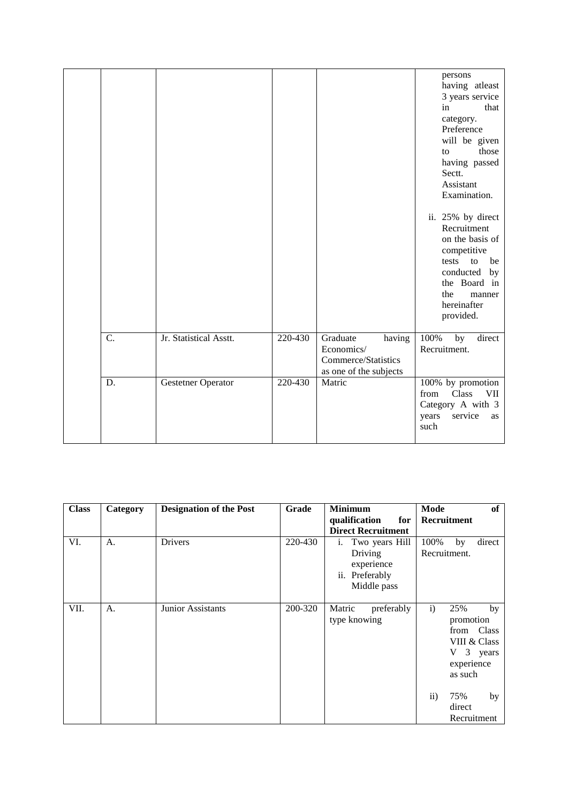|    |                        |         |                                                                                   | persons<br>having atleast<br>3 years service<br>that<br>in<br>category.<br>Preference<br>will be given<br>those<br>to<br>having passed<br>Sectt.<br>Assistant<br>Examination.<br>ii. 25% by direct<br>Recruitment<br>on the basis of<br>competitive<br>to<br>tests<br>be<br>conducted by<br>the Board in<br>the<br>manner<br>hereinafter<br>provided. |
|----|------------------------|---------|-----------------------------------------------------------------------------------|-------------------------------------------------------------------------------------------------------------------------------------------------------------------------------------------------------------------------------------------------------------------------------------------------------------------------------------------------------|
| C. | Jr. Statistical Asstt. | 220-430 | Graduate<br>having<br>Economics/<br>Commerce/Statistics<br>as one of the subjects | 100%<br>direct<br>by<br>Recruitment.                                                                                                                                                                                                                                                                                                                  |
| D. | Gestetner Operator     | 220-430 | Matric                                                                            | 100% by promotion<br>Class<br><b>VII</b><br>from<br>Category A with 3<br>years<br>service<br>as<br>such                                                                                                                                                                                                                                               |

| <b>Class</b> | Category | <b>Designation of the Post</b> | Grade   | <b>Minimum</b>                                                                 | Mode<br>of                                                                                                    |
|--------------|----------|--------------------------------|---------|--------------------------------------------------------------------------------|---------------------------------------------------------------------------------------------------------------|
|              |          |                                |         | qualification<br>for                                                           | Recruitment                                                                                                   |
|              |          |                                |         | <b>Direct Recruitment</b>                                                      |                                                                                                               |
| VI.          | A.       | Drivers                        | 220-430 | Two years Hill<br>i.<br>Driving<br>experience<br>ii. Preferably<br>Middle pass | 100%<br>direct<br>by<br>Recruitment.                                                                          |
| VII.         | A.       | Junior Assistants              | 200-320 | Matric<br>preferably<br>type knowing                                           | $\mathbf{i}$<br>25%<br>by<br>promotion<br>from Class<br>VIII & Class<br>3 years<br>V<br>experience<br>as such |
|              |          |                                |         |                                                                                | $\rm ii)$<br>75%<br>by<br>direct<br>Recruitment                                                               |